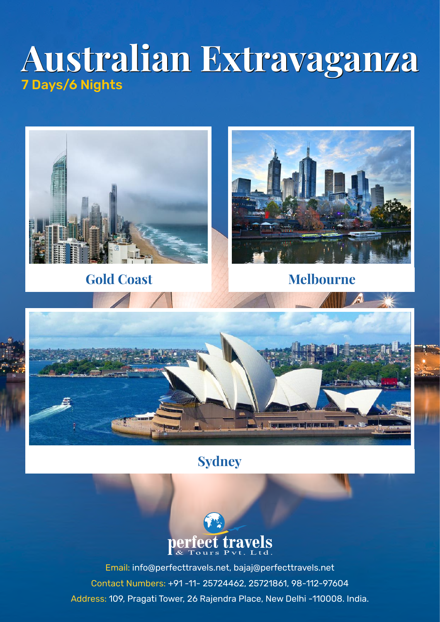# **Australian Extravaganza Australian Extravaganza** 7 Days/6 Nights



# **Sydney**



Email: info@perfecttravels.net, bajaj@perfecttravels.net Contact Numbers: +91 -11- 25724462, 25721861, 98-112-97604 Address: 109, Pragati Tower, 26 Rajendra Place, New Delhi -110008. India.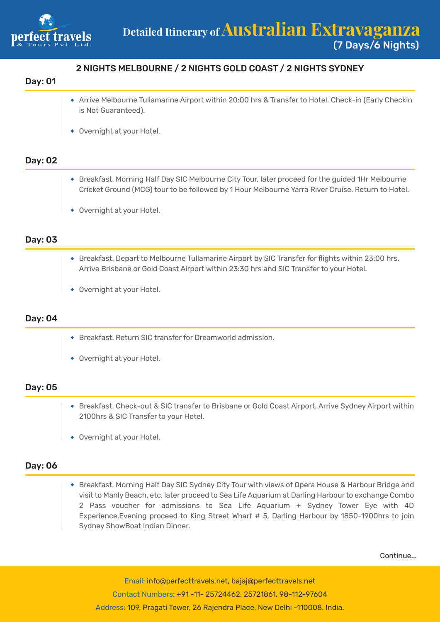

# 2 NIGHTS MELBOURNE / 2 NIGHTS GOLD COAST / 2 NIGHTS SYDNEY

#### Day: 01

- Arrive Melbourne Tullamarine Airport within 20:00 hrs & Transfer to Hotel. Check-in (Early Checkin is Not Guaranteed).
- Overnight at your Hotel.

## Day: 02

- Breakfast. Morning Half Day SIC Melbourne City Tour, later proceed for the guided 1Hr Melbourne Cricket Ground (MCG) tour to be followed by 1 Hour Melbourne Yarra River Cruise. Return to Hotel.
- Overnight at your Hotel.

### Day: 03

- Breakfast. Depart to Melbourne Tullamarine Airport by SIC Transfer for flights within 23:00 hrs. Arrive Brisbane or Gold Coast Airport within 23:30 hrs and SIC Transfer to your Hotel.
- Overnight at your Hotel.

#### Day: 04

- Breakfast. Return SIC transfer for Dreamworld admission.
- Overnight at your Hotel.

#### Day: 05

- Breakfast. Check-out & SIC transfer to Brisbane or Gold Coast Airport. Arrive Sydney Airport within 2100hrs & SIC Transfer to your Hotel.
- Overnight at your Hotel.

#### Day: 06

Breakfast. Morning Half Day SIC Sydney City Tour with views of Opera House & Harbour Bridge and visit to Manly Beach, etc, later proceed to Sea Life Aquarium at Darling Harbour to exchange Combo 2 Pass voucher for admissions to Sea Life Aquarium + Sydney Tower Eye with 4D Experience.Evening proceed to King Street Wharf # 5, Darling Harbour by 1850-1900hrs to join Sydney ShowBoat Indian Dinner.

Continue...

Email: info@perfecttravels.net, bajaj@perfecttravels.net Contact Numbers: +91 -11- 25724462, 25721861, 98-112-97604 Address: 109, Pragati Tower, 26 Rajendra Place, New Delhi -110008. India.